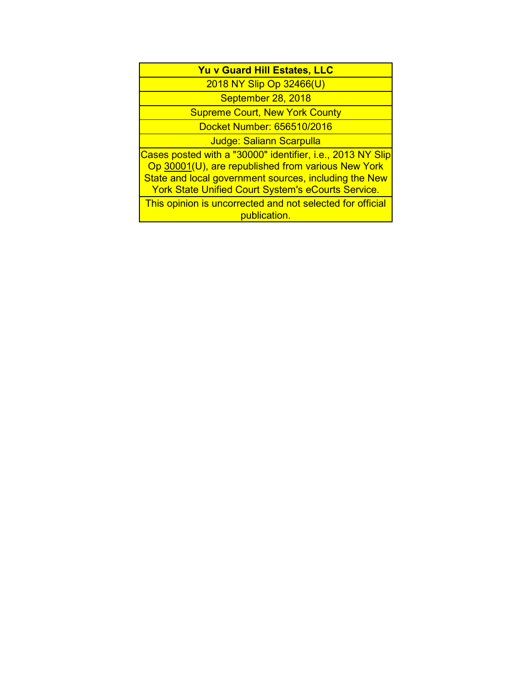## **Yu v Guard Hill Estates, LLC**

2018 NY Slip Op 32466(U)

September 28, 2018

Supreme Court, New York County

Docket Number: 656510/2016

Judge: Saliann Scarpulla

Cases posted with a "30000" identifier, i.e., 2013 NY Slip Op 30001(U), are republished from various New York State and local government sources, including the New **York State Unified Court System's eCourts Service.** 

This opinion is uncorrected and not selected for official publication.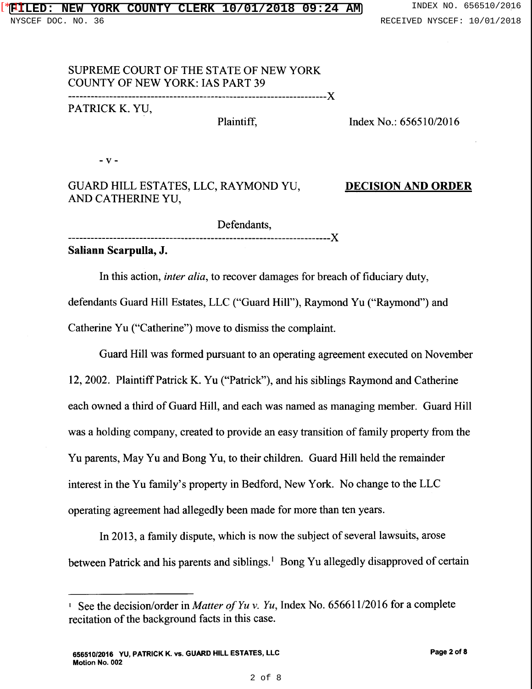## SUPREME COURT OF THE STATE OF NEW YORK COUNTY OF NEW YORK: IAS PART 39

---------------------------------------------------------------------)(

PATRICK K. YU,

Plaintiff,

Index No.: 656510/2016

 $-V -$ 

GUARD HILL ESTATES, LLC, RAYMOND YU, AND CATHERINE YU,

DECISION AND ORDER

Defendants, ----------------------------------------------------------------------)(

Saliann Scarpulla, J.

In this action, *inter alia,* to recover damages for breach of fiduciary duty, defendants Guard Hill Estates, LLC ("Guard Hill"), Raymond Yu ("Raymond") and Catherine Yu ("Catherine") move to dismiss the complaint.

Guard Hill was formed pursuant to an operating agreement executed on November 12, 2002. Plaintiff Patrick K. Yu ("Patrick"), and his siblings Raymond and Catherine each owned a third of Guard Hill, and each was named as managing member. Guard Hill was a holding company, created to provide an easy transition of family property from the Yu parents, May Yu and Bong Yu, to their children. Guard Hill held the remainder interest in the Yu family's property in Bedford, New York. No change to the LLC operating agreement had allegedly been made for more than ten years.

In 2013, a family dispute, which is now the subject of several lawsuits, arose between Patrick and his parents and siblings.<sup>1</sup> Bong Yu allegedly disapproved of certain

<sup>1</sup> See the decision/order in *Matter of Yu v. Yu,* Index No. 656611/2016 for a complete recitation of the background facts in this case.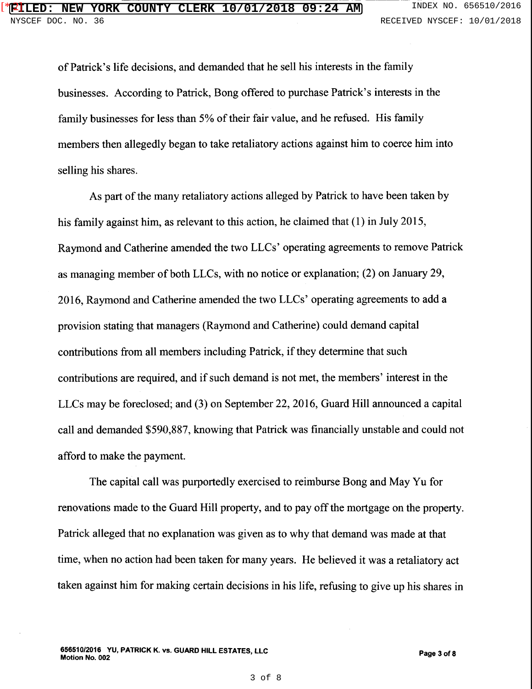of Patrick's life decisions, and demanded that he sell his interests in the family businesses. According to Patrick, Bong offered to purchase Patrick's interests in the family businesses for less than 5% of their fair value, and he refused. His family members then allegedly began to take retaliatory actions against him to coerce him into selling his shares.

As part of the many retaliatory actions alleged by Patrick to have been taken by his family against him, as relevant to this action, he claimed that (1) in July 2015, Raymond and Catherine amended the two LLCs' operating agreements to remove Patrick as managing member of both LLCs, with no notice or explanation; (2) on January 29, 2016, Raymond and Catherine amended the two LLCs' operating agreements to add a provision stating that managers (Raymond and Catherine) could demand capital contributions from all members including Patrick, if they determine that such contributions are required, and if such demand is not met, the members' interest in the LLCs may be foreclosed; and (3) on September 22, 2016, Guard Hill announced a capital call and demanded \$590,887, knowing that Patrick was financially unstable and could not afford to make the payment.

The capital call was purportedly exercised to reimburse Bong and May Yu for renovations made to the Guard Hill property, and to pay off the mortgage on the property. Patrick alleged that no explanation was given as to why that demand was made at that time, when no action had been taken for many years. He believed it was a retaliatory act taken against him for making certain decisions in his life, refusing to give up his shares in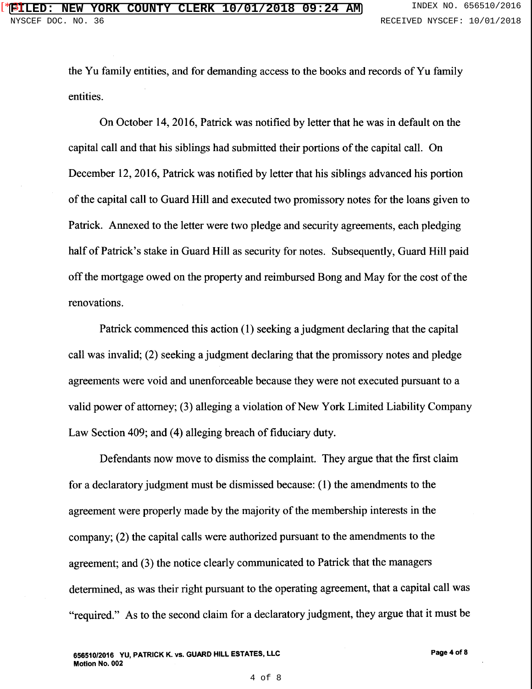the Yu family entities, and for demanding access to the books and records of Yu family entities.

On October 14, 2016, Patrick was notified by letter that he was in default on the capital call and that his siblings had submitted their portions of the capital call. On December 12, 2016, Patrick was notified by letter that his siblings advanced his portion of the capital call to Guard Hill and executed two promissory notes for the loans given to Patrick. Annexed to the letter were two pledge and security agreements, each pledging half of Patrick's stake in Guard Hill as security for notes. Subsequently, Guard Hill paid off the mortgage owed on the property and reimbursed Bong and May for the cost of the renovations.

Patrick commenced this action (1) seeking a judgment declaring that the capital call was invalid; (2) seeking a judgment declaring that the promissory notes and pledge agreements were void and unenforceable because they were not executed pursuant to a valid power of attorney; (3) alleging a violation of New York Limited Liability Company Law Section 409; and (4) alleging breach of fiduciary duty.

Defendants now move to dismiss the complaint. They argue that the first claim for a declaratory judgment must be dismissed because: ( 1) the amendments to the agreement were properly made by the majority of the membership interests in the company; (2) the capital calls were authorized pursuant to the amendments to the agreement; and (3) the notice clearly communicated to Patrick that the managers determined, as was their right pursuant to the operating agreement, that a capital call was "required." As to the second claim for a declaratory judgment, they argue that it must be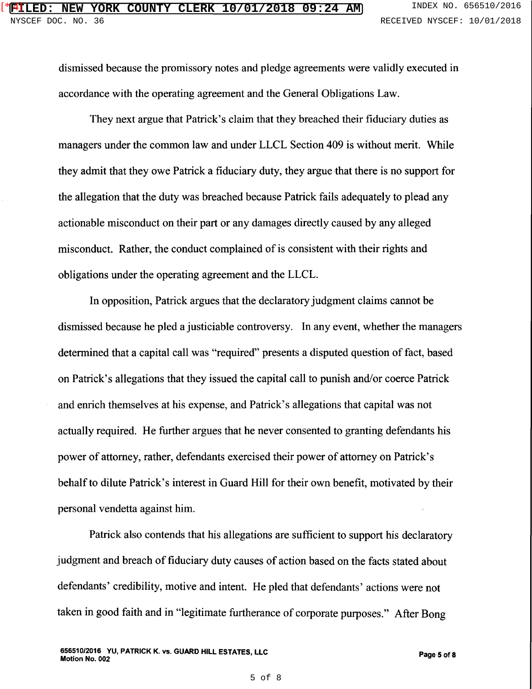dismissed because the promissory notes and pledge agreements were validly executed in accordance with the operating agreement and the General Obligations Law.

They next argue that Patrick's claim that they breached their fiduciary duties as managers under the common law and under LLCL Section 409 is without merit. While they admit that they owe Patrick a fiduciary duty, they argue that there is no support for the allegation that the duty was breached because Patrick fails adequately to plead any actionable misconduct on their part or any damages directly caused by any alleged misconduct. Rather, the conduct complained of is consistent with their rights and obligations under the operating agreement and the LLCL.

In opposition, Patrick argues that the declaratory judgment claims cannot be dismissed because he pied a justiciable controversy. In any event, whether the managers determined that a capital call was "required" presents a disputed question of fact, based on Patrick's allegations that they issued the capital call to punish and/or coerce Patrick and enrich themselves at his expense, and Patrick's allegations that capital was not actually required. He further argues that he never consented to granting defendants his power of attorney, rather, defendants exercised their power of attorney on Patrick's behalf to dilute Patrick's interest in Guard Hill for their own benefit, motivated by their personal vendetta against him.

Patrick also contends that his allegations are sufficient to support his declaratory judgment and breach of fiduciary duty causes of action based on the facts stated about defendants' credibility, motive and intent. He pied that defendants' actions were not taken in good faith and in "legitimate furtherance of corporate purposes." After Bong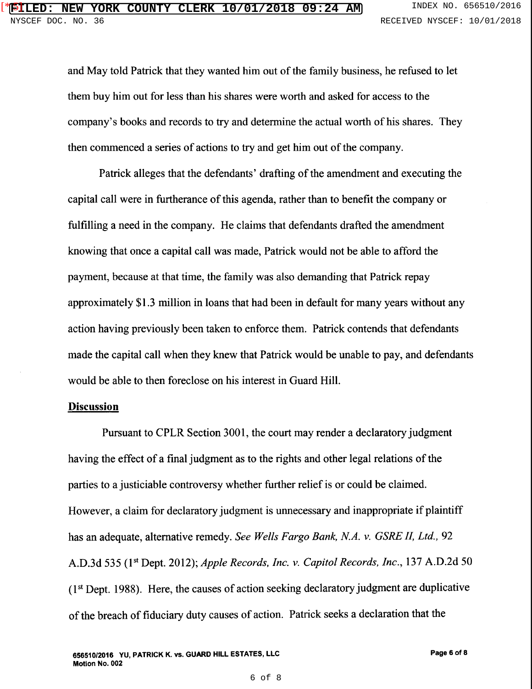and May told Patrick that they wanted him out of the family business, he refused to let them buy him out for less than his shares were worth and asked for access to the company's books and records to try and determine the actual worth of his shares. They then commenced a series of actions to try and get him out of the company.

Patrick alleges that the defendants' drafting of the amendment and executing the capital call were in furtherance of this agenda, rather than to benefit the company or fulfilling a need in the company. He claims that defendants drafted the amendment knowing that once a capital call was made, Patrick would not be able to afford the payment, because at that time, the family was also demanding that Patrick repay approximately \$1.3 million in loans that had been in default for many years without any action having previously been taken to enforce them. Patrick contends that defendants made the capital call when they knew that Patrick would be unable to pay, and defendants would be able to then foreclose on his interest in Guard Hill.

## **Discussion**

Pursuant to CPLR Section 3001, the court may render a declaratory judgment having the effect of a final judgment as to the rights and other legal relations of the parties to a justiciable controversy whether further relief is or could be claimed. However, a claim for declaratory judgment is unnecessary and inappropriate if plaintiff has an adequate, alternative remedy. *See Wells Fargo Bank, N.A. v. GSRE II, Ltd.,* 92 A.D.3d 535 (1st Dept. 2012); *Apple Records, Inc. v. Capitol Records, Inc.,* 137 A.D.2d 50 (1st Dept. 1988). Here, the causes of action seeking declaratory judgment are duplicative of the breach of fiduciary duty causes of action. Patrick seeks a declaration that the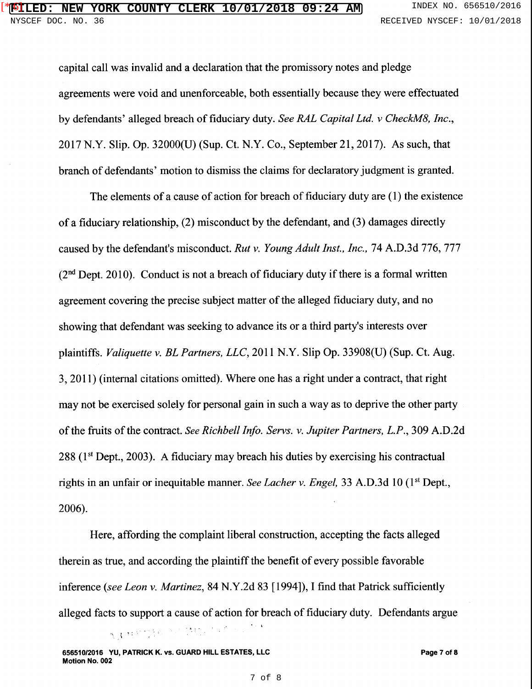capital call was invalid and a declaration that the promissory notes and pledge agreements were void and unenforceable, both essentially because they were effectuated by defendants' alleged breach of fiduciary duty. *See RAL Capital Ltd. v CheckM8, Inc.,*  2017 N.Y. Slip. Op. 32000(U) (Sup. Ct. N.Y. Co., September 21, 2017). As such, that branch of defendants' motion to dismiss the claims for declaratory judgment is granted.

The elements of a cause of action for breach of fiduciary duty are (1) the existence of a fiduciary relationship, (2) misconduct by the defendant, and (3) damages directly caused by the defendant's misconduct. *Rut v. Young Adult Inst., Inc.,* 74 A.D.3d 776, 777  $(2<sup>nd</sup>$  Dept. 2010). Conduct is not a breach of fiduciary duty if there is a formal written agreement covering the precise subject matter of the alleged fiduciary duty, and no showing that defendant was seeking to advance its or a third party's interests over plaintiffs. *Valiquette v. BL Partners, LLC,* 2011 N.Y. Slip Op. 33908(U) (Sup. Ct. Aug. 3, 2011) (internal citations omitted). Where one has a right under a contract, that right may not be exercised solely for personal gain in such a way as to deprive the other party of the fruits of the contract. *See Richbell Info. Servs. v. Jupiter Partners, L.P.,* 309 A.D.2d  $288$  ( $1<sup>st</sup>$  Dept., 2003). A fiduciary may breach his duties by exercising his contractual rights in an unfair or inequitable manner. *See Lacher v. Engel,* 33 A.D.3d 10 (1st Dept., 2006).

Here, affording the complaint liberal construction, accepting the facts alleged therein as true, and according the plaintiff the benefit of every possible favorable inference *(see Leon v. Martinez,* 84 N.Y.2d 83 [1994]), I find that Patrick sufficiently alleged facts to support a cause of action for breach of fiduciary duty. Defendants argue . .<br>. . . AJMETH, SCHUCK